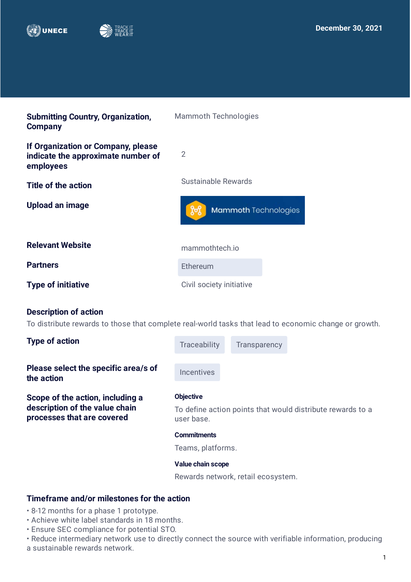



| <b>Submitting Country, Organization,</b><br><b>Company</b>                                                                            | <b>Mammoth Technologies</b> |                             |                                                            |  |
|---------------------------------------------------------------------------------------------------------------------------------------|-----------------------------|-----------------------------|------------------------------------------------------------|--|
| If Organization or Company, please<br>indicate the approximate number of<br>employees                                                 | $\overline{2}$              |                             |                                                            |  |
| <b>Title of the action</b>                                                                                                            | <b>Sustainable Rewards</b>  |                             |                                                            |  |
| <b>Upload an image</b>                                                                                                                |                             | <b>Mammoth Technologies</b> |                                                            |  |
| <b>Relevant Website</b>                                                                                                               | mammothtech.jo              |                             |                                                            |  |
| <b>Partners</b>                                                                                                                       | Ethereum                    |                             |                                                            |  |
| <b>Type of initiative</b>                                                                                                             | Civil society initiative    |                             |                                                            |  |
| <b>Description of action</b><br>To distribute rewards to those that complete real-world tasks that lead to economic change or growth. |                             |                             |                                                            |  |
| <b>Type of action</b>                                                                                                                 | Traceability                | Transparency                |                                                            |  |
| Please select the specific area/s of<br>the action                                                                                    | Incentives                  |                             |                                                            |  |
| Scope of the action, including a<br>description of the value chain                                                                    | <b>Objective</b>            |                             | To define action points that would distribute rewards to a |  |

**processes that are covered**

The words to a user base.

## **Commitments**

Teams, platforms.

#### **Value chain scope**

Rewards network, retail ecosystem.

## **Timeframe and/or milestones for the action**

- 8-12 months for a phase 1 prototype.
- Achieve white label standards in 18 months.
- Ensure SEC compliance for potential STO.

• Reduce intermediary network use to directly connect the source with verifiable information, producing a sustainable rewards network.